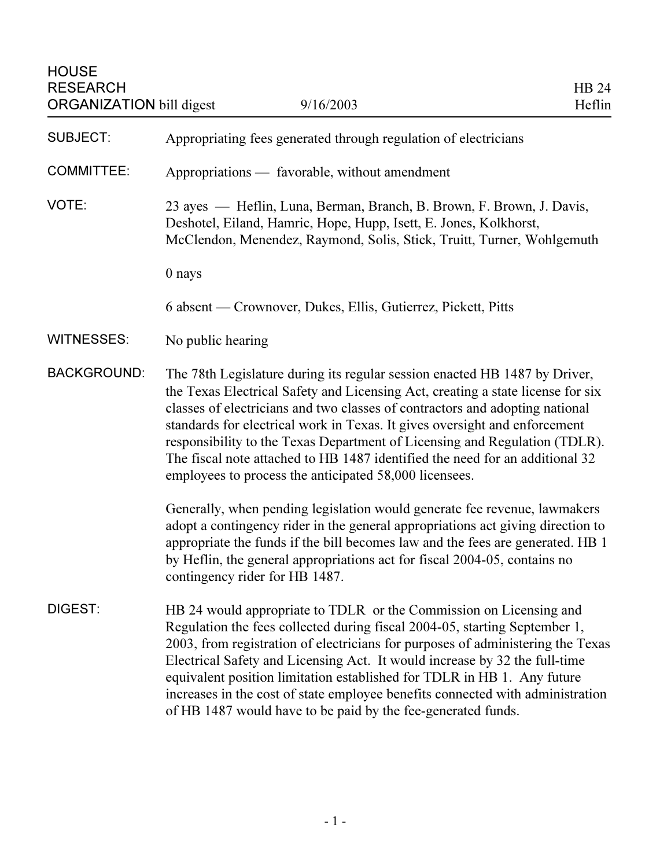| <b>SUBJECT:</b>    | Appropriating fees generated through regulation of electricians                                                                                                                                                                                                                                                                                                                                                                                                                                                                                     |
|--------------------|-----------------------------------------------------------------------------------------------------------------------------------------------------------------------------------------------------------------------------------------------------------------------------------------------------------------------------------------------------------------------------------------------------------------------------------------------------------------------------------------------------------------------------------------------------|
| <b>COMMITTEE:</b>  | Appropriations — favorable, without amendment                                                                                                                                                                                                                                                                                                                                                                                                                                                                                                       |
| VOTE:              | 23 ayes — Heflin, Luna, Berman, Branch, B. Brown, F. Brown, J. Davis,<br>Deshotel, Eiland, Hamric, Hope, Hupp, Isett, E. Jones, Kolkhorst,<br>McClendon, Menendez, Raymond, Solis, Stick, Truitt, Turner, Wohlgemuth                                                                                                                                                                                                                                                                                                                                |
|                    | 0 nays                                                                                                                                                                                                                                                                                                                                                                                                                                                                                                                                              |
|                    | 6 absent — Crownover, Dukes, Ellis, Gutierrez, Pickett, Pitts                                                                                                                                                                                                                                                                                                                                                                                                                                                                                       |
| <b>WITNESSES:</b>  | No public hearing                                                                                                                                                                                                                                                                                                                                                                                                                                                                                                                                   |
| <b>BACKGROUND:</b> | The 78th Legislature during its regular session enacted HB 1487 by Driver,<br>the Texas Electrical Safety and Licensing Act, creating a state license for six<br>classes of electricians and two classes of contractors and adopting national<br>standards for electrical work in Texas. It gives oversight and enforcement<br>responsibility to the Texas Department of Licensing and Regulation (TDLR).<br>The fiscal note attached to HB 1487 identified the need for an additional 32<br>employees to process the anticipated 58,000 licensees. |
|                    | Generally, when pending legislation would generate fee revenue, lawmakers<br>adopt a contingency rider in the general appropriations act giving direction to<br>appropriate the funds if the bill becomes law and the fees are generated. HB 1<br>by Heflin, the general appropriations act for fiscal 2004-05, contains no<br>contingency rider for HB 1487.                                                                                                                                                                                       |
| <b>DIGEST:</b>     | HB 24 would appropriate to TDLR or the Commission on Licensing and<br>Regulation the fees collected during fiscal 2004-05, starting September 1,<br>2003, from registration of electricians for purposes of administering the Texas<br>Electrical Safety and Licensing Act. It would increase by 32 the full-time<br>equivalent position limitation established for TDLR in HB 1. Any future<br>increases in the cost of state employee benefits connected with administration<br>of HB 1487 would have to be paid by the fee-generated funds.      |